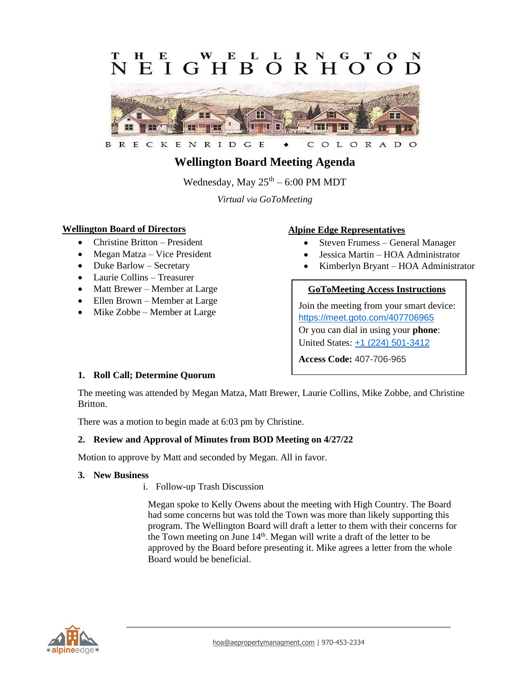#### E E L L **GHBORH**  $E$  I  $\Omega$  $\Omega$



ENRIDG  $E$ OLORAD B R E C K C  $\circ$ 

# **Wellington Board Meeting Agenda**

Wednesday, May  $25^{\text{th}} - 6:00$  PM MDT

*Virtual via GoToMeeting*

## **Wellington Board of Directors**

- Christine Britton President
- Megan Matza Vice President
- Duke Barlow Secretary
- Laurie Collins Treasurer
- Matt Brewer Member at Large
- Ellen Brown Member at Large
- Mike Zobbe Member at Large

### **Alpine Edge Representatives**

- Steven Frumess General Manager
- Jessica Martin HOA Administrator
- Kimberlyn Bryant HOA Administrator

#### **GoToMeeting Access Instructions**

Join the meeting from your smart device: <https://meet.goto.com/407706965> Or you can dial in using your **phone**: United States: [+1 \(224\) 501-3412](tel:+12245013412,,407706965)

**Access Code:** 407-706-965

#### **1. Roll Call; Determine Quorum**

The meeting was attended by Megan Matza, Matt Brewer, Laurie Collins, Mike Zobbe, and Christine Britton.

There was a motion to begin made at 6:03 pm by Christine.

## **2. Review and Approval of Minutes from BOD Meeting on 4/27/22**

Motion to approve by Matt and seconded by Megan. All in favor.

#### **3. New Business**

i. Follow-up Trash Discussion

Megan spoke to Kelly Owens about the meeting with High Country. The Board had some concerns but was told the Town was more than likely supporting this program. The Wellington Board will draft a letter to them with their concerns for the Town meeting on June  $14<sup>th</sup>$ . Megan will write a draft of the letter to be approved by the Board before presenting it. Mike agrees a letter from the whole Board would be beneficial.

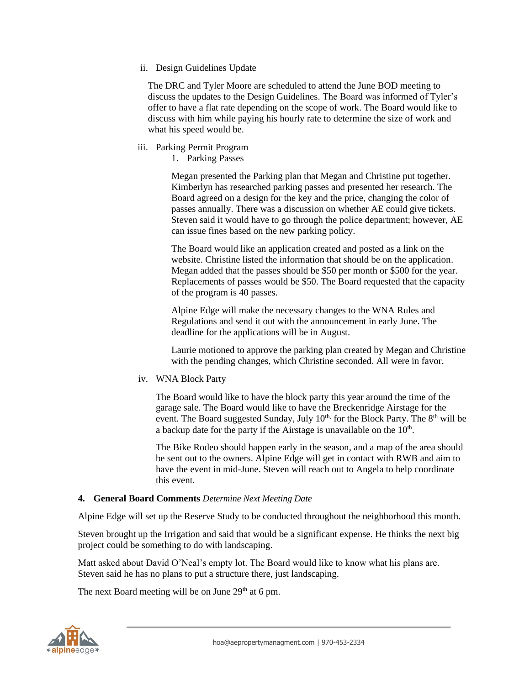ii. Design Guidelines Update

The DRC and Tyler Moore are scheduled to attend the June BOD meeting to discuss the updates to the Design Guidelines. The Board was informed of Tyler's offer to have a flat rate depending on the scope of work. The Board would like to discuss with him while paying his hourly rate to determine the size of work and what his speed would be.

- iii. Parking Permit Program
	- 1. Parking Passes

Megan presented the Parking plan that Megan and Christine put together. Kimberlyn has researched parking passes and presented her research. The Board agreed on a design for the key and the price, changing the color of passes annually. There was a discussion on whether AE could give tickets. Steven said it would have to go through the police department; however, AE can issue fines based on the new parking policy.

The Board would like an application created and posted as a link on the website. Christine listed the information that should be on the application. Megan added that the passes should be \$50 per month or \$500 for the year. Replacements of passes would be \$50. The Board requested that the capacity of the program is 40 passes.

Alpine Edge will make the necessary changes to the WNA Rules and Regulations and send it out with the announcement in early June. The deadline for the applications will be in August.

Laurie motioned to approve the parking plan created by Megan and Christine with the pending changes, which Christine seconded. All were in favor.

iv. WNA Block Party

The Board would like to have the block party this year around the time of the garage sale. The Board would like to have the Breckenridge Airstage for the event. The Board suggested Sunday, July  $10<sup>th</sup>$  for the Block Party. The  $8<sup>th</sup>$  will be a backup date for the party if the Airstage is unavailable on the  $10<sup>th</sup>$ .

The Bike Rodeo should happen early in the season, and a map of the area should be sent out to the owners. Alpine Edge will get in contact with RWB and aim to have the event in mid-June. Steven will reach out to Angela to help coordinate this event.

#### **4. General Board Comments** *Determine Next Meeting Date*

Alpine Edge will set up the Reserve Study to be conducted throughout the neighborhood this month.

Steven brought up the Irrigation and said that would be a significant expense. He thinks the next big project could be something to do with landscaping.

Matt asked about David O'Neal's empty lot. The Board would like to know what his plans are. Steven said he has no plans to put a structure there, just landscaping.

The next Board meeting will be on June  $29<sup>th</sup>$  at 6 pm.